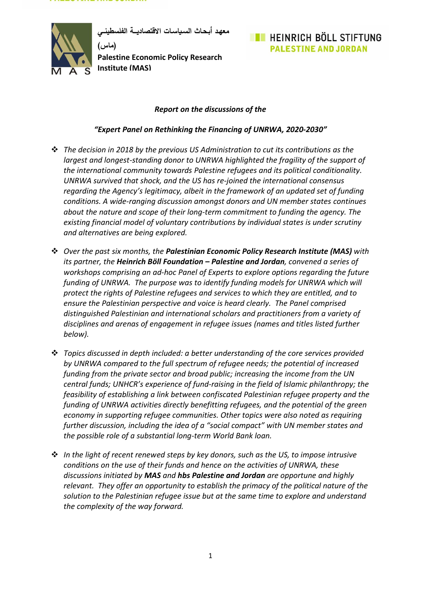**معهـد أبـحـاث السـياسـات االقتصاديـــة الفلسطينــي**

**)ماس( Palestine Economic Policy Research Institute (MAS)**

### **EXAMPLE IN HEINRICH BÖLL STIFTUNG PALESTINE AND JORDAN**

#### *Report on the discussions of the*

#### *"Expert Panel on Rethinking the Financing of UNRWA, 2020-2030"*

- ❖ *The decision in 2018 by the previous US Administration to cut its contributions as the largest and longest-standing donor to UNRWA highlighted the fragility of the support of the international community towards Palestine refugees and its political conditionality. UNRWA survived that shock, and the US has re-joined the international consensus regarding the Agency's legitimacy, albeit in the framework of an updated set of funding conditions. A wide-ranging discussion amongst donors and UN member states continues about the nature and scope of their long-term commitment to funding the agency. The existing financial model of voluntary contributions by individual states is under scrutiny and alternatives are being explored.*
- ❖ *Over the past six months, the Palestinian Economic Policy Research Institute (MAS) with its partner, the Heinrich Böll Foundation – Palestine and Jordan, convened a series of workshops comprising an ad-hoc Panel of Experts to explore options regarding the future funding of UNRWA. The purpose was to identify funding models for UNRWA which will protect the rights of Palestine refugees and services to which they are entitled, and to ensure the Palestinian perspective and voice is heard clearly. The Panel comprised distinguished Palestinian and international scholars and practitioners from a variety of disciplines and arenas of engagement in refugee issues (names and titles listed further below).*
- ❖ *Topics discussed in depth included: a better understanding of the core services provided by UNRWA compared to the full spectrum of refugee needs; the potential of increased funding from the private sector and broad public; increasing the income from the UN central funds; UNHCR's experience of fund-raising in the field of Islamic philanthropy; the feasibility of establishing a link between confiscated Palestinian refugee property and the funding of UNRWA activities directly benefitting refugees, and the potential of the green economy in supporting refugee communities. Other topics were also noted as requiring further discussion, including the idea of a "social compact" with UN member states and the possible role of a substantial long-term World Bank loan.*
- ❖ *In the light of recent renewed steps by key donors, such as the US, to impose intrusive conditions on the use of their funds and hence on the activities of UNRWA, these discussions initiated by MAS and hbs Palestine and Jordan are opportune and highly relevant. They offer an opportunity to establish the primacy of the political nature of the solution to the Palestinian refugee issue but at the same time to explore and understand the complexity of the way forward.*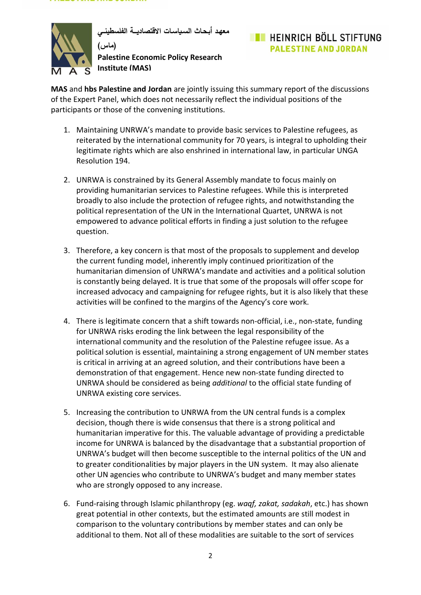

**معهـد أبـحـاث السـياسـات االقتصاديـــة الفلسطينــي**

**)ماس( Palestine Economic Policy Research Institute (MAS)**

# **EL HEINRICH BÖLL STIFTUNG PALESTINE AND JORDAN**

**MAS** and **hbs Palestine and Jordan** are jointly issuing this summary report of the discussions of the Expert Panel, which does not necessarily reflect the individual positions of the participants or those of the convening institutions.

- 1. Maintaining UNRWA's mandate to provide basic services to Palestine refugees, as reiterated by the international community for 70 years, is integral to upholding their legitimate rights which are also enshrined in international law, in particular UNGA Resolution 194.
- 2. UNRWA is constrained by its General Assembly mandate to focus mainly on providing humanitarian services to Palestine refugees. While this is interpreted broadly to also include the protection of refugee rights, and notwithstanding the political representation of the UN in the International Quartet, UNRWA is not empowered to advance political efforts in finding a just solution to the refugee question.
- 3. Therefore, a key concern is that most of the proposals to supplement and develop the current funding model, inherently imply continued prioritization of the humanitarian dimension of UNRWA's mandate and activities and a political solution is constantly being delayed. It is true that some of the proposals will offer scope for increased advocacy and campaigning for refugee rights, but it is also likely that these activities will be confined to the margins of the Agency's core work.
- 4. There is legitimate concern that a shift towards non-official, i.e., non-state, funding for UNRWA risks eroding the link between the legal responsibility of the international community and the resolution of the Palestine refugee issue. As a political solution is essential, maintaining a strong engagement of UN member states is critical in arriving at an agreed solution, and their contributions have been a demonstration of that engagement. Hence new non-state funding directed to UNRWA should be considered as being *additional* to the official state funding of UNRWA existing core services.
- 5. Increasing the contribution to UNRWA from the UN central funds is a complex decision, though there is wide consensus that there is a strong political and humanitarian imperative for this. The valuable advantage of providing a predictable income for UNRWA is balanced by the disadvantage that a substantial proportion of UNRWA's budget will then become susceptible to the internal politics of the UN and to greater conditionalities by major players in the UN system. It may also alienate other UN agencies who contribute to UNRWA's budget and many member states who are strongly opposed to any increase.
- 6. Fund-raising through Islamic philanthropy (eg. *waqf, zakat, sadakah*, etc.) has shown great potential in other contexts, but the estimated amounts are still modest in comparison to the voluntary contributions by member states and can only be additional to them. Not all of these modalities are suitable to the sort of services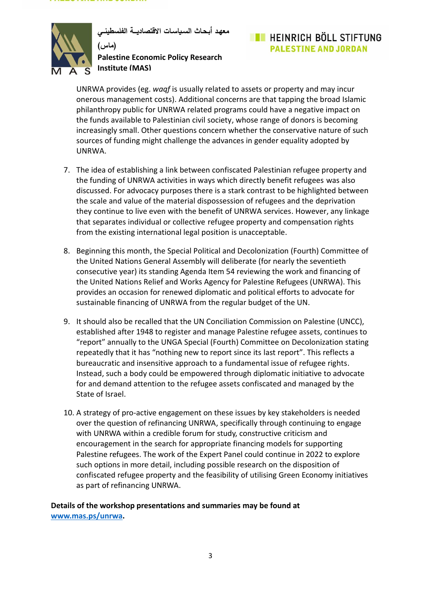**معهـد أبـحـاث السـياسـات االقتصاديـــة الفلسطينــي**

**)ماس( Palestine Economic Policy Research Institute (MAS)**

# **EL HEINRICH BÖLL STIFTUNG PALESTINE AND JORDAN**

UNRWA provides (eg. *waqf* is usually related to assets or property and may incur onerous management costs). Additional concerns are that tapping the broad Islamic philanthropy public for UNRWA related programs could have a negative impact on the funds available to Palestinian civil society, whose range of donors is becoming increasingly small. Other questions concern whether the conservative nature of such sources of funding might challenge the advances in gender equality adopted by UNRWA.

- 7. The idea of establishing a link between confiscated Palestinian refugee property and the funding of UNRWA activities in ways which directly benefit refugees was also discussed. For advocacy purposes there is a stark contrast to be highlighted between the scale and value of the material dispossession of refugees and the deprivation they continue to live even with the benefit of UNRWA services. However, any linkage that separates individual or collective refugee property and compensation rights from the existing international legal position is unacceptable.
- 8. Beginning this month, the Special Political and Decolonization (Fourth) Committee of the United Nations General Assembly will deliberate (for nearly the seventieth consecutive year) its standing Agenda Item 54 reviewing the work and financing of the United Nations Relief and Works Agency for Palestine Refugees (UNRWA). This provides an occasion for renewed diplomatic and political efforts to advocate for sustainable financing of UNRWA from the regular budget of the UN.
- 9. It should also be recalled that the UN Conciliation Commission on Palestine (UNCC), established after 1948 to register and manage Palestine refugee assets, continues to "report" annually to the UNGA Special (Fourth) Committee on Decolonization stating repeatedly that it has "nothing new to report since its last report". This reflects a bureaucratic and insensitive approach to a fundamental issue of refugee rights. Instead, such a body could be empowered through diplomatic initiative to advocate for and demand attention to the refugee assets confiscated and managed by the State of Israel.
- 10. A strategy of pro-active engagement on these issues by key stakeholders is needed over the question of refinancing UNRWA, specifically through continuing to engage with UNRWA within a credible forum for study, constructive criticism and encouragement in the search for appropriate financing models for supporting Palestine refugees. The work of the Expert Panel could continue in 2022 to explore such options in more detail, including possible research on the disposition of confiscated refugee property and the feasibility of utilising Green Economy initiatives as part of refinancing UNRWA.

**Details of the workshop presentations and summaries may be found at [www.mas.ps/unrwa.](http://www.mas.ps/unrwa)**